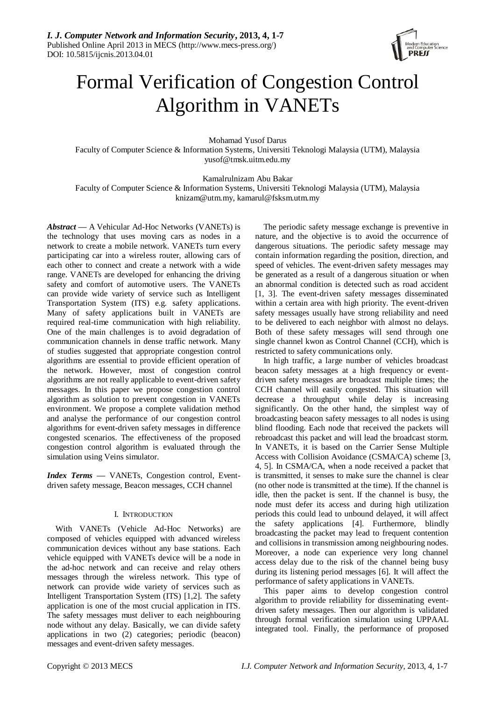

# Formal Verification of Congestion Control Algorithm in VANETs

Mohamad Yusof Darus

Faculty of Computer Science & Information Systems, Universiti Teknologi Malaysia (UTM), Malaysia yusof@tmsk.uitm.edu.my

Kamalrulnizam Abu Bakar

Faculty of Computer Science & Information Systems, Universiti Teknologi Malaysia (UTM), Malaysia knizam@utm.my, kamarul@fsksm.utm.my

*Abstract* **—** A Vehicular Ad-Hoc Networks (VANETs) is the technology that uses moving cars as nodes in a network to create a mobile network. VANETs turn every participating car into a wireless router, allowing cars of each other to connect and create a network with a wide range. VANETs are developed for enhancing the driving safety and comfort of automotive users. The VANETs can provide wide variety of service such as Intelligent Transportation System (ITS) e.g. safety applications. Many of safety applications built in VANETs are required real-time communication with high reliability. One of the main challenges is to avoid degradation of communication channels in dense traffic network. Many of studies suggested that appropriate congestion control algorithms are essential to provide efficient operation of the network. However, most of congestion control algorithms are not really applicable to event-driven safety messages. In this paper we propose congestion control algorithm as solution to prevent congestion in VANETs environment. We propose a complete validation method and analyse the performance of our congestion control algorithms for event-driven safety messages in difference congested scenarios. The effectiveness of the proposed congestion control algorithm is evaluated through the simulation using Veins simulator.

*Index Terms* **—** VANETs, Congestion control, Eventdriven safety message, Beacon messages, CCH channel

## I. INTRODUCTION

With VANETs (Vehicle Ad-Hoc Networks) are composed of vehicles equipped with advanced wireless communication devices without any base stations. Each vehicle equipped with VANETs device will be a node in the ad-hoc network and can receive and relay others messages through the wireless network. This type of network can provide wide variety of services such as Intelligent Transportation System (ITS) [1,2]. The safety application is one of the most crucial application in ITS. The safety messages must deliver to each neighbouring node without any delay. Basically, we can divide safety applications in two (2) categories; periodic (beacon) messages and event-driven safety messages.

The periodic safety message exchange is preventive in nature, and the objective is to avoid the occurrence of dangerous situations. The periodic safety message may contain information regarding the position, direction, and speed of vehicles. The event-driven safety messages may be generated as a result of a dangerous situation or when an abnormal condition is detected such as road accident [1, 3]. The event-driven safety messages disseminated within a certain area with high priority. The event-driven safety messages usually have strong reliability and need to be delivered to each neighbor with almost no delays. Both of these safety messages will send through one single channel kwon as Control Channel (CCH), which is restricted to safety communications only.

In high traffic, a large number of vehicles broadcast beacon safety messages at a high frequency or eventdriven safety messages are broadcast multiple times; the CCH channel will easily congested. This situation will decrease a throughput while delay is increasing significantly. On the other hand, the simplest way of broadcasting beacon safety messages to all nodes is using blind flooding. Each node that received the packets will rebroadcast this packet and will lead the broadcast storm. In VANETs, it is based on the Carrier Sense Multiple Access with Collision Avoidance (CSMA/CA) scheme [3, 4, 5]. In CSMA/CA, when a node received a packet that is transmitted, it senses to make sure the channel is clear (no other node is transmitted at the time). If the channel is idle, then the packet is sent. If the channel is busy, the node must defer its access and during high utilization periods this could lead to unbound delayed, it will affect the safety applications [4]. Furthermore, blindly broadcasting the packet may lead to frequent contention and collisions in transmission among neighbouring nodes. Moreover, a node can experience very long channel access delay due to the risk of the channel being busy during its listening period messages [6]. It will affect the performance of safety applications in VANETs.

This paper aims to develop congestion control algorithm to provide reliability for disseminating eventdriven safety messages. Then our algorithm is validated through formal verification simulation using UPPAAL integrated tool. Finally, the performance of proposed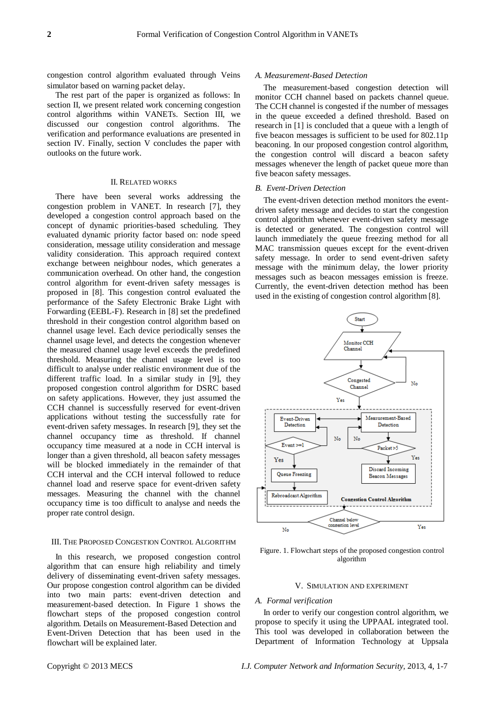congestion control algorithm evaluated through Veins simulator based on warning packet delay.

The rest part of the paper is organized as follows: In section II, we present related work concerning congestion control algorithms within VANETs. Section III, we discussed our congestion control algorithms. The verification and performance evaluations are presented in section IV. Finally, section V concludes the paper with outlooks on the future work.

### II. RELATED WORKS

There have been several works addressing the congestion problem in VANET. In research [7], they developed a congestion control approach based on the concept of dynamic priorities-based scheduling. They evaluated dynamic priority factor based on: node speed consideration, message utility consideration and message validity consideration. This approach required context exchange between neighbour nodes, which generates a communication overhead. On other hand, the congestion control algorithm for event-driven safety messages is proposed in [8]. This congestion control evaluated the performance of the Safety Electronic Brake Light with Forwarding (EEBL-F). Research in [8] set the predefined threshold in their congestion control algorithm based on channel usage level. Each device periodically senses the channel usage level, and detects the congestion whenever the measured channel usage level exceeds the predefined threshold. Measuring the channel usage level is too difficult to analyse under realistic environment due of the different traffic load. In a similar study in [9], they proposed congestion control algorithm for DSRC based on safety applications. However, they just assumed the CCH channel is successfully reserved for event-driven applications without testing the successfully rate for event-driven safety messages. In research [9], they set the channel occupancy time as threshold. If channel occupancy time measured at a node in CCH interval is longer than a given threshold, all beacon safety messages will be blocked immediately in the remainder of that CCH interval and the CCH interval followed to reduce channel load and reserve space for event-driven safety messages. Measuring the channel with the channel occupancy time is too difficult to analyse and needs the proper rate control design.

## III. THE PROPOSED CONGESTION CONTROL ALGORITHM

In this research, we proposed congestion control algorithm that can ensure high reliability and timely delivery of disseminating event-driven safety messages. Our propose congestion control algorithm can be divided into two main parts: event-driven detection and measurement-based detection. In Figure 1 shows the flowchart steps of the proposed congestion control algorithm. Details on Measurement-Based Detection and Event-Driven Detection that has been used in the flowchart will be explained later*.* 

#### *A. Measurement-Based Detection*

The measurement-based congestion detection will monitor CCH channel based on packets channel queue. The CCH channel is congested if the number of messages in the queue exceeded a defined threshold. Based on research in [1] is concluded that a queue with a length of five beacon messages is sufficient to be used for 802.11p beaconing. In our proposed congestion control algorithm, the congestion control will discard a beacon safety messages whenever the length of packet queue more than five beacon safety messages*.*

## *B. Event-Driven Detection*

The event-driven detection method monitors the eventdriven safety message and decides to start the congestion control algorithm whenever event-driven safety message is detected or generated. The congestion control will launch immediately the queue freezing method for all MAC transmission queues except for the event-driven safety message. In order to send event-driven safety message with the minimum delay, the lower priority messages such as beacon messages emission is freeze. Currently, the event-driven detection method has been used in the existing of congestion control algorithm [8].



Figure. 1. Flowchart steps of the proposed congestion control algorithm

## V. SIMULATION AND EXPERIMENT

## *A. Formal verification*

In order to verify our congestion control algorithm, we propose to specify it using the UPPAAL integrated tool. This tool was developed in collaboration between the Department of Information Technology at Uppsala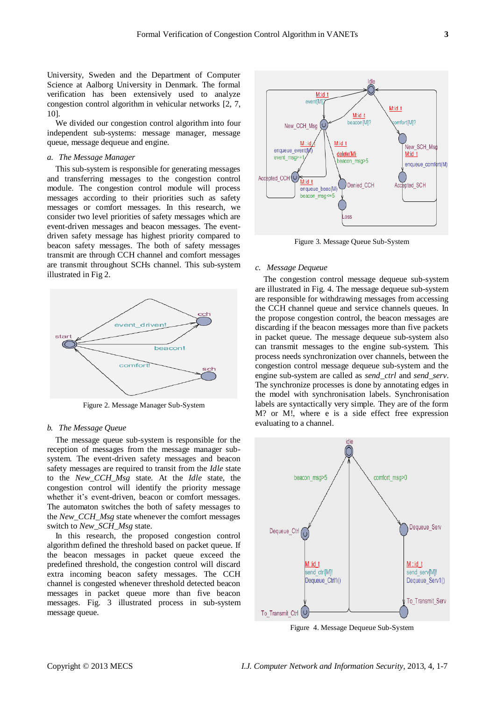University, Sweden and the Department of Computer Science at Aalborg University in Denmark. The formal verification has been extensively used to analyze congestion control algorithm in vehicular networks [2, 7, 10].

We divided our congestion control algorithm into four independent sub-systems: message manager, message queue, message dequeue and engine.

## *a. The Message Manager*

This sub-system is responsible for generating messages and transferring messages to the congestion control module. The congestion control module will process messages according to their priorities such as safety messages or comfort messages. In this research, we consider two level priorities of safety messages which are event-driven messages and beacon messages. The eventdriven safety message has highest priority compared to beacon safety messages. The both of safety messages transmit are through CCH channel and comfort messages are transmit throughout SCHs channel. This sub-system illustrated in Fig 2.



Figure 2. Message Manager Sub-System

#### *b. The Message Queue*

The message queue sub-system is responsible for the reception of messages from the message manager subsystem. The event-driven safety messages and beacon safety messages are required to transit from the *Idle* state to the *New\_CCH\_Msg* state*.* At the *Idle* state, the congestion control will identify the priority message whether it's event-driven, beacon or comfort messages. The automaton switches the both of safety messages to the *New\_CCH\_Msg* state whenever the comfort messages switch to *New\_SCH\_Msg* state.

In this research, the proposed congestion control algorithm defined the threshold based on packet queue. If the beacon messages in packet queue exceed the predefined threshold, the congestion control will discard extra incoming beacon safety messages. The CCH channel is congested whenever threshold detected beacon messages in packet queue more than five beacon messages. Fig. 3 illustrated process in sub-system message queue.



Figure 3. Message Queue Sub-System

## *c. Message Dequeue*

The congestion control message dequeue sub-system are illustrated in Fig. 4. The message dequeue sub-system are responsible for withdrawing messages from accessing the CCH channel queue and service channels queues. In the propose congestion control, the beacon messages are discarding if the beacon messages more than five packets in packet queue. The message dequeue sub-system also can transmit messages to the engine sub-system. This process needs synchronization over channels, between the congestion control message dequeue sub-system and the engine sub-system are called as *send\_ctrl* and *send\_serv*. The synchronize processes is done by annotating edges in the model with synchronisation labels. Synchronisation labels are syntactically very simple. They are of the form M? or M!, where e is a side effect free expression evaluating to a channel.



Figure 4. Message Dequeue Sub-System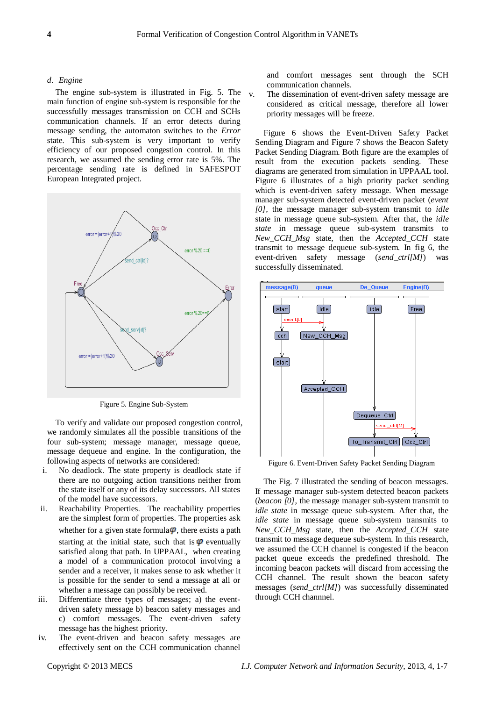## *d. Engine*

The engine sub-system is illustrated in Fig. 5. The main function of engine sub-system is responsible for the successfully messages transmission on CCH and SCHs communication channels. If an error detects during message sending, the automaton switches to the *Error*  state. This sub-system is very important to verify efficiency of our proposed congestion control. In this research, we assumed the sending error rate is 5%. The percentage sending rate is defined in SAFESPOT European Integrated project.



Figure 5. Engine Sub-System

To verify and validate our proposed congestion control, we randomly simulates all the possible transitions of the four sub-system; message manager, message queue, message dequeue and engine. In the configuration, the following aspects of networks are considered:

- i. No deadlock. The state property is deadlock state if there are no outgoing action transitions neither from the state itself or any of its delay successors. All states of the model have successors.
- ii. Reachability Properties. The reachability properties are the simplest form of properties. The properties ask whether for a given state formula $\varphi$ , there exists a path starting at the initial state, such that is  $\varphi$  eventually satisfied along that path. In UPPAAL, when creating a model of a communication protocol involving a sender and a receiver, it makes sense to ask whether it is possible for the sender to send a message at all or whether a message can possibly be received.
- iii. Differentiate three types of messages; a) the eventdriven safety message b) beacon safety messages and c) comfort messages. The event-driven safety message has the highest priority.
- iv. The event-driven and beacon safety messages are effectively sent on the CCH communication channel

and comfort messages sent through the SCH communication channels.

v. The dissemination of event-driven safety message are considered as critical message, therefore all lower priority messages will be freeze.

Figure 6 shows the Event-Driven Safety Packet Sending Diagram and Figure 7 shows the Beacon Safety Packet Sending Diagram. Both figure are the examples of result from the execution packets sending. These diagrams are generated from simulation in UPPAAL tool. Figure 6 illustrates of a high priority packet sending which is event-driven safety message. When message manager sub-system detected event-driven packet (*event [0],* the message manager sub-system transmit to *idle*  state in message queue sub-system. After that, the *idle state* in message queue sub-system transmits to *New\_CCH\_Msg* state, then the *Accepted\_CCH* state transmit to message dequeue sub-system. In fig 6, the event-driven safety message (*send\_ctrl[M]*) was successfully disseminated.



Figure 6. Event-Driven Safety Packet Sending Diagram

The Fig. 7 illustrated the sending of beacon messages. If message manager sub-system detected beacon packets (*beacon [0],* the message manager sub-system transmit to *idle state* in message queue sub-system. After that, the *idle state* in message queue sub-system transmits to *New\_CCH\_Msg* state, then the *Accepted\_CCH* state transmit to message dequeue sub-system. In this research, we assumed the CCH channel is congested if the beacon packet queue exceeds the predefined threshold. The incoming beacon packets will discard from accessing the CCH channel. The result shown the beacon safety messages (*send\_ctrl[M]*) was successfully disseminated through CCH channnel.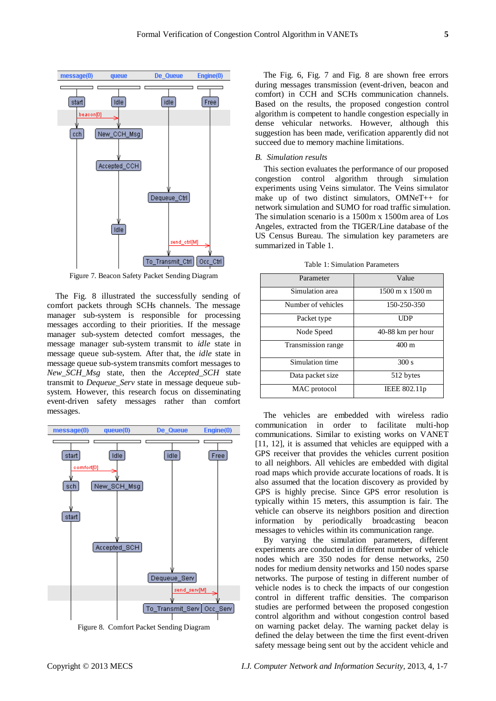

Figure 7. Beacon Safety Packet Sending Diagram

The Fig. 8 illustrated the successfully sending of comfort packets through SCHs channels. The message manager sub-system is responsible for processing messages according to their priorities. If the message manager sub-system detected comfort messages, the message manager sub-system transmit to *idle* state in message queue sub-system. After that, the *idle* state in message queue sub-system transmits comfort messages to *New\_SCH\_Msg* state, then the *Accepted\_SCH* state transmit to *Dequeue\_Serv* state in message dequeue subsystem. However, this research focus on disseminating event-driven safety messages rather than comfort messages.



Figure 8. Comfort Packet Sending Diagram

The Fig. 6, Fig. 7 and Fig. 8 are shown free errors during messages transmission (event-driven, beacon and comfort) in CCH and SCHs communication channels. Based on the results, the proposed congestion control algorithm is competent to handle congestion especially in dense vehicular networks. However, although this suggestion has been made, verification apparently did not succeed due to memory machine limitations.

## *B. Simulation results*

This section evaluates the performance of our proposed congestion control algorithm through simulation experiments using Veins simulator. The Veins simulator make up of two distinct simulators, OMNeT++ for network simulation and SUMO for road traffic simulation. The simulation scenario is a 1500m x 1500m area of Los Angeles, extracted from the TIGER/Line database of the US Census Bureau. The simulation key parameters are summarized in Table 1.

Table 1: Simulation Parameters

| Parameter          | Value                                  |
|--------------------|----------------------------------------|
| Simulation area    | $1500 \text{ m} \times 1500 \text{ m}$ |
| Number of vehicles | 150-250-350                            |
| Packet type        | UDP                                    |
| Node Speed         | 40-88 km per hour                      |
| Transmission range | $400 \text{ m}$                        |
| Simulation time    | 300 s                                  |
| Data packet size   | 512 bytes                              |
| MAC protocol       | IEEE 802.11p                           |

The vehicles are embedded with wireless radio communication in order to facilitate multi-hop communications. Similar to existing works on VANET [11, 12], it is assumed that vehicles are equipped with a GPS receiver that provides the vehicles current position to all neighbors. All vehicles are embedded with digital road maps which provide accurate locations of roads. It is also assumed that the location discovery as provided by GPS is highly precise. Since GPS error resolution is typically within 15 meters, this assumption is fair. The vehicle can observe its neighbors position and direction information by periodically broadcasting beacon messages to vehicles within its communication range.

By varying the simulation parameters, different experiments are conducted in different number of vehicle nodes which are 350 nodes for dense networks, 250 nodes for medium density networks and 150 nodes sparse networks. The purpose of testing in different number of vehicle nodes is to check the impacts of our congestion control in different traffic densities. The comparison studies are performed between the proposed congestion control algorithm and without congestion control based on warning packet delay. The warning packet delay is defined the delay between the time the first event-driven safety message being sent out by the accident vehicle and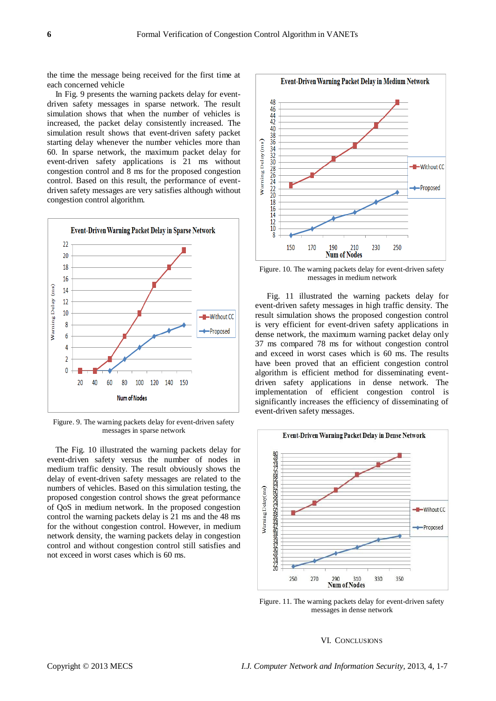the time the message being received for the first time at each concerned vehicle

In Fig. 9 presents the warning packets delay for eventdriven safety messages in sparse network. The result simulation shows that when the number of vehicles is increased, the packet delay consistently increased. The simulation result shows that event-driven safety packet starting delay whenever the number vehicles more than 60. In sparse network, the maximum packet delay for event-driven safety applications is 21 ms without congestion control and 8 ms for the proposed congestion control. Based on this result, the performance of eventdriven safety messages are very satisfies although without congestion control algorithm.



Figure. 9. The warning packets delay for event-driven safety messages in sparse network

The Fig. 10 illustrated the warning packets delay for event-driven safety versus the number of nodes in medium traffic density. The result obviously shows the delay of event-driven safety messages are related to the numbers of vehicles. Based on this simulation testing, the proposed congestion control shows the great peformance of QoS in medium network. In the proposed congestion control the warning packets delay is 21 ms and the 48 ms for the without congestion control. However, in medium network density, the warning packets delay in congestion control and without congestion control still satisfies and not exceed in worst cases which is 60 ms.



Figure. 10. The warning packets delay for event-driven safety messages in medium network

Fig. 11 illustrated the warning packets delay for event-driven safety messages in high traffic density. The result simulation shows the proposed congestion control is very efficient for event-driven safety applications in dense network, the maximum warning packet delay only 37 ms compared 78 ms for without congestion control and exceed in worst cases which is 60 ms. The results have been proved that an efficient congestion control algorithm is efficient method for disseminating eventdriven safety applications in dense network. The implementation of efficient congestion control is significantly increases the efficiency of disseminating of event-driven safety messages.



Figure. 11. The warning packets delay for event-driven safety messages in dense network

## VI. CONCLUSIONS